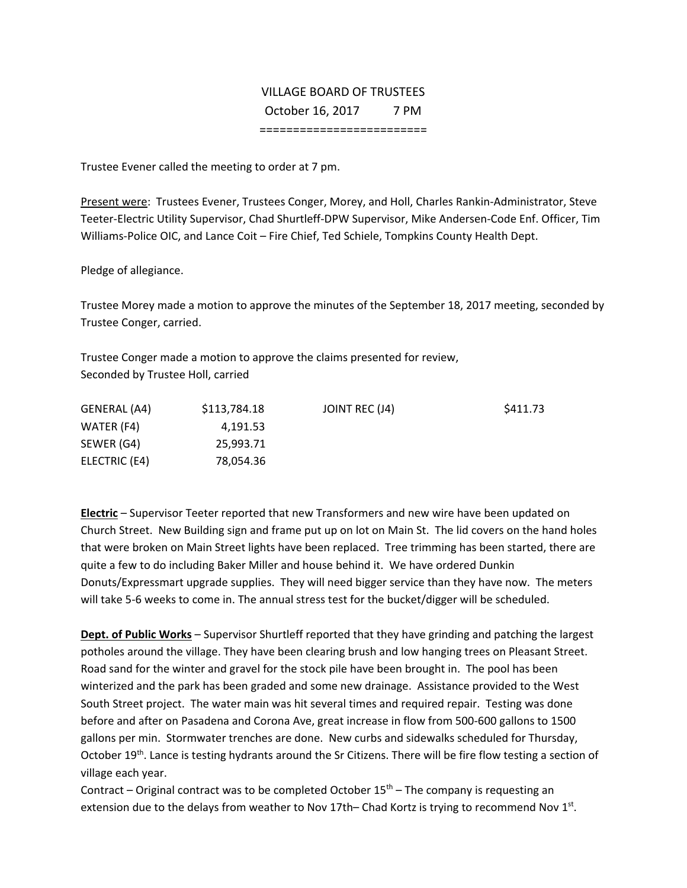# VILLAGE BOARD OF TRUSTEES October 16, 2017 7 PM =========================

Trustee Evener called the meeting to order at 7 pm.

Present were: Trustees Evener, Trustees Conger, Morey, and Holl, Charles Rankin‐Administrator, Steve Teeter‐Electric Utility Supervisor, Chad Shurtleff‐DPW Supervisor, Mike Andersen‐Code Enf. Officer, Tim Williams‐Police OIC, and Lance Coit – Fire Chief, Ted Schiele, Tompkins County Health Dept.

Pledge of allegiance.

Trustee Morey made a motion to approve the minutes of the September 18, 2017 meeting, seconded by Trustee Conger, carried.

Trustee Conger made a motion to approve the claims presented for review, Seconded by Trustee Holl, carried

| GENERAL (A4)  | \$113,784.18 | JOINT REC (J4) | \$411.73 |
|---------------|--------------|----------------|----------|
| WATER (F4)    | 4.191.53     |                |          |
| SEWER (G4)    | 25.993.71    |                |          |
| ELECTRIC (E4) | 78,054.36    |                |          |

**Electric** – Supervisor Teeter reported that new Transformers and new wire have been updated on Church Street. New Building sign and frame put up on lot on Main St. The lid covers on the hand holes that were broken on Main Street lights have been replaced. Tree trimming has been started, there are quite a few to do including Baker Miller and house behind it. We have ordered Dunkin Donuts/Expressmart upgrade supplies. They will need bigger service than they have now. The meters will take 5‐6 weeks to come in. The annual stress test for the bucket/digger will be scheduled.

**Dept. of Public Works** – Supervisor Shurtleff reported that they have grinding and patching the largest potholes around the village. They have been clearing brush and low hanging trees on Pleasant Street. Road sand for the winter and gravel for the stock pile have been brought in. The pool has been winterized and the park has been graded and some new drainage. Assistance provided to the West South Street project. The water main was hit several times and required repair. Testing was done before and after on Pasadena and Corona Ave, great increase in flow from 500‐600 gallons to 1500 gallons per min. Stormwater trenches are done. New curbs and sidewalks scheduled for Thursday, October 19th. Lance is testing hydrants around the Sr Citizens. There will be fire flow testing a section of village each year.

Contract – Original contract was to be completed October  $15<sup>th</sup>$  – The company is requesting an extension due to the delays from weather to Nov 17th– Chad Kortz is trying to recommend Nov  $1<sup>st</sup>$ .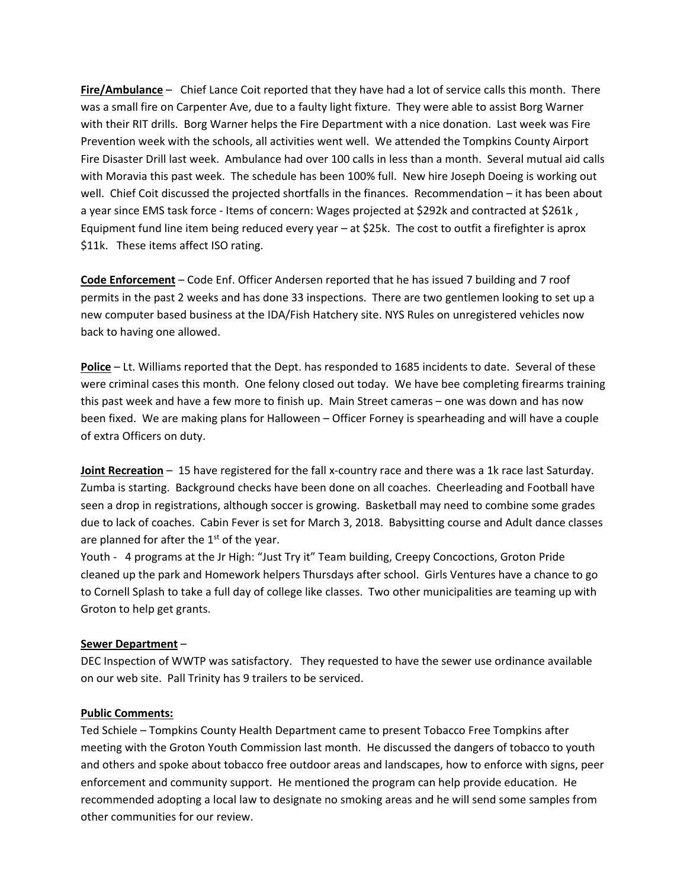**Fire/Ambulance** – Chief Lance Coit reported that they have had a lot of service calls this month. There was a small fire on Carpenter Ave, due to a faulty light fixture. They were able to assist Borg Warner with their RIT drills. Borg Warner helps the Fire Department with a nice donation. Last week was Fire Prevention week with the schools, all activities went well. We attended the Tompkins County Airport Fire Disaster Drill last week. Ambulance had over 100 calls in less than a month. Several mutual aid calls with Moravia this past week. The schedule has been 100% full. New hire Joseph Doeing is working out well. Chief Coit discussed the projected shortfalls in the finances. Recommendation – it has been about a year since EMS task force - Items of concern: Wages projected at \$292k and contracted at \$261k, Equipment fund line item being reduced every year – at \$25k. The cost to outfit a firefighter is aprox \$11k. These items affect ISO rating.

**Code Enforcement** – Code Enf. Officer Andersen reported that he has issued 7 building and 7 roof permits in the past 2 weeks and has done 33 inspections. There are two gentlemen looking to set up a new computer based business at the IDA/Fish Hatchery site. NYS Rules on unregistered vehicles now back to having one allowed.

**Police** – Lt. Williams reported that the Dept. has responded to 1685 incidents to date. Several of these were criminal cases this month. One felony closed out today. We have bee completing firearms training this past week and have a few more to finish up. Main Street cameras – one was down and has now been fixed. We are making plans for Halloween – Officer Forney is spearheading and will have a couple of extra Officers on duty.

**Joint Recreation** – 15 have registered for the fall x‐country race and there was a 1k race last Saturday. Zumba is starting. Background checks have been done on all coaches. Cheerleading and Football have seen a drop in registrations, although soccer is growing. Basketball may need to combine some grades due to lack of coaches. Cabin Fever is set for March 3, 2018. Babysitting course and Adult dance classes are planned for after the  $1<sup>st</sup>$  of the year.

Youth ‐ 4 programs at the Jr High: "Just Try it" Team building, Creepy Concoctions, Groton Pride cleaned up the park and Homework helpers Thursdays after school. Girls Ventures have a chance to go to Cornell Splash to take a full day of college like classes. Two other municipalities are teaming up with Groton to help get grants.

## **Sewer Department** –

DEC Inspection of WWTP was satisfactory. They requested to have the sewer use ordinance available on our web site. Pall Trinity has 9 trailers to be serviced.

#### **Public Comments:**

Ted Schiele – Tompkins County Health Department came to present Tobacco Free Tompkins after meeting with the Groton Youth Commission last month. He discussed the dangers of tobacco to youth and others and spoke about tobacco free outdoor areas and landscapes, how to enforce with signs, peer enforcement and community support. He mentioned the program can help provide education. He recommended adopting a local law to designate no smoking areas and he will send some samples from other communities for our review.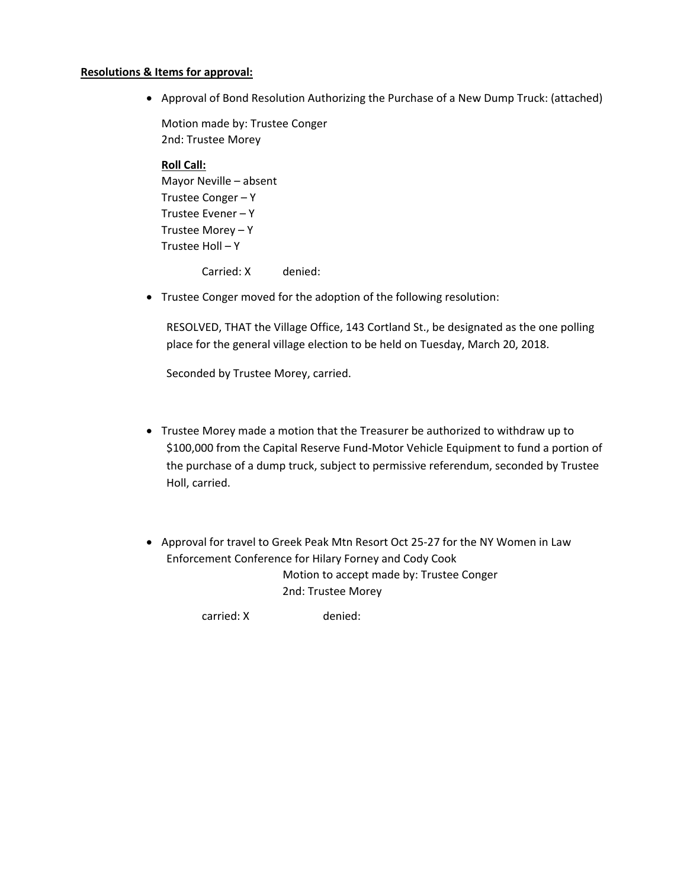## **Resolutions & Items for approval:**

Approval of Bond Resolution Authorizing the Purchase of a New Dump Truck: (attached)

Motion made by: Trustee Conger 2nd: Trustee Morey

## **Roll Call:**

Mayor Neville – absent Trustee Conger – Y Trustee Evener – Y Trustee Morey – Y Trustee Holl – Y

Carried: X denied:

Trustee Conger moved for the adoption of the following resolution:

RESOLVED, THAT the Village Office, 143 Cortland St., be designated as the one polling place for the general village election to be held on Tuesday, March 20, 2018.

Seconded by Trustee Morey, carried.

- Trustee Morey made a motion that the Treasurer be authorized to withdraw up to \$100,000 from the Capital Reserve Fund‐Motor Vehicle Equipment to fund a portion of the purchase of a dump truck, subject to permissive referendum, seconded by Trustee Holl, carried.
- Approval for travel to Greek Peak Mtn Resort Oct 25-27 for the NY Women in Law Enforcement Conference for Hilary Forney and Cody Cook Motion to accept made by: Trustee Conger 2nd: Trustee Morey

carried: X denied: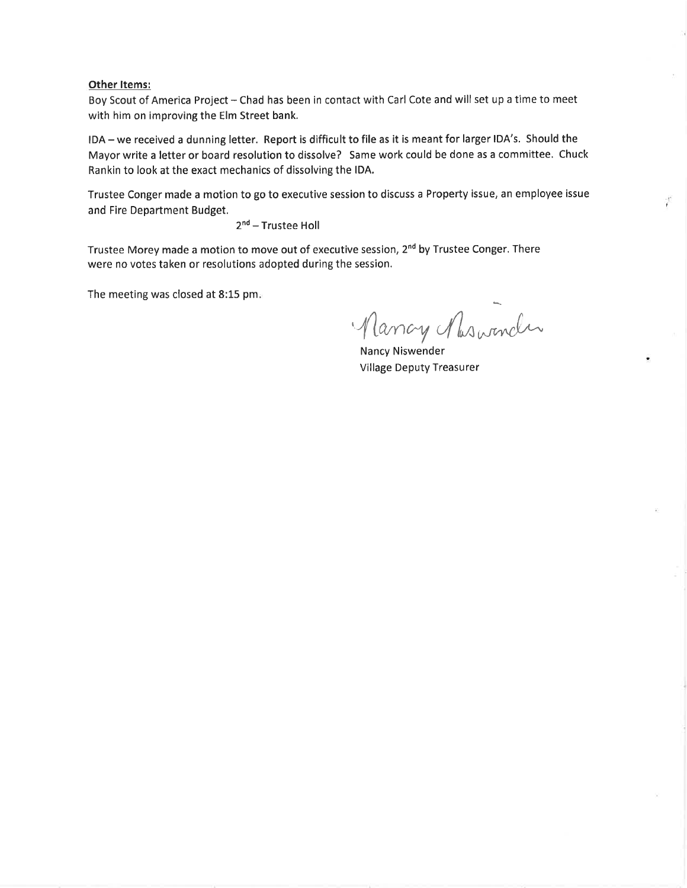### **Other Items:**

Boy Scout of America Project - Chad has been in contact with Carl Cote and will set up a time to meet with him on improving the Elm Street bank.

IDA-we received a dunning letter. Report is difficult to file as it is meant for larger IDA's. Should the Mayor write a letter or board resolution to dissolve? Same work could be done as a committee. Chuck Rankin to look at the exact mechanics of dissolving the IDA.

Trustee Conger made a motion to go to executive session to discuss a Property issue, an employee issue and Fire Department Budget.

2<sup>nd</sup> – Trustee Holl

Trustee Morey made a motion to move out of executive session, 2<sup>nd</sup> by Trustee Conger. There were no votes taken or resolutions adopted during the session.

The meeting was closed at 8:15 pm.

 $n = 1$ Mancy Maswinder

Ÿ,

Nancy Niswender Village Deputy Treasurer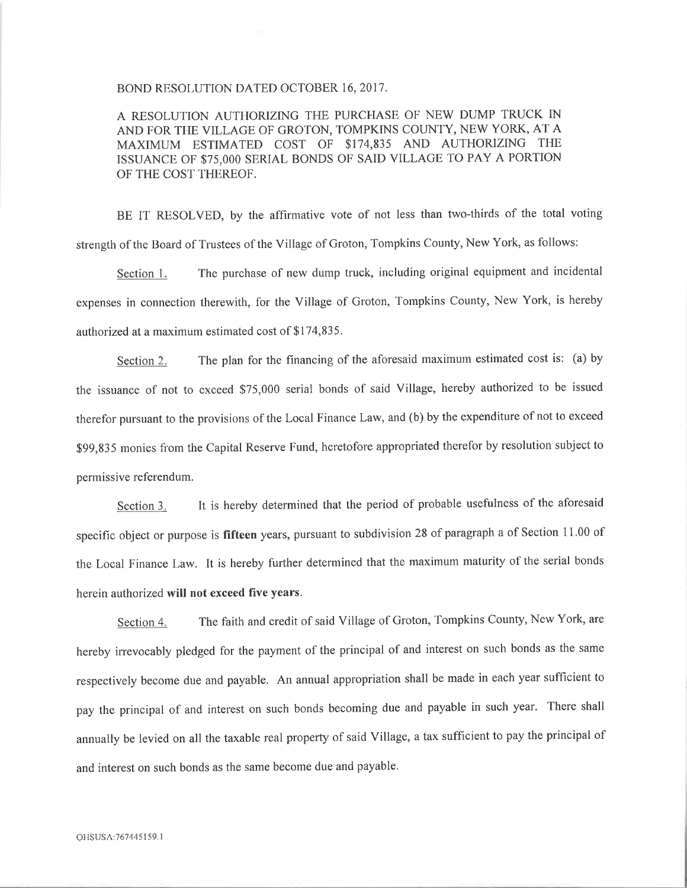#### BOND RESOLUTION DATED OCTOBER 16, 2017.

A RESOLUTION AUTHORIZING THE PURCHASE OF NEW DUMP TRUCK IN AND FOR THE VILLAGE OF GROTON, TOMPKINS COUNTY, NEW YORK, AT <sup>A</sup> MAXIMUM ESTIMATED COST OF \$174,835 AND AUTHORIZING THE ISSUANCE OF \$75,000 SERIAL BONDS OF SAID VILLAGE TO PAY A PORTION OF THE COST THEREOF.

BE IT RESOLVED, by the affirmative vote of not less than two-thirds of the total voting strength of the Board of Trustees of the Village of Groton, Tompkins County, New York, as follows:

Section 1. The purchase of new dump truck, including original equipment and incidental expenses in connection therewith, for the Village of Groton, Tompkins County, New York, is hereby authorized at a maximum estimated cost of \$174,835.

Section 2. The plan for the financing of the aforesaid maximum estimated cost is: (a) by the issuance of not to exceed \$75,000 serial bonds of said Village, hereby authorized to be issued therefor pursuant to the provisions of the Local Finance Law, and (b) by the expenditure of not to exceed \$99,835 monies from the Capital Reserve Fund, heretofore appropriated therefor by resolution subject to permissive referendum.

Section 3. It is hereby determined that the period of probable usefulness of the aforesaid specific object or purpose is **fifteen** years, pursuant to subdivision 28 of paragraph a of Section 11.00 of the Local Finance Law. It is hereby further determined that the maximum maturity of the serial bonds herein authorized **will not exceed five years.** 

Section 4. The faith and credit of said Village of Groton, Tompkins County, New York, are hereby irrevocably pledged for the payment of the principal of and interest on such bonds as the same respectively become due and payable. An annual appropriation shall be made in each year sufficient to pay the principal of and interest on such bonds becoming due and payable in such year. There shall annually be levied on all the taxable real property of said Village, a tax sufficient to pay the principal of and interest on such bonds as the same become due and payable.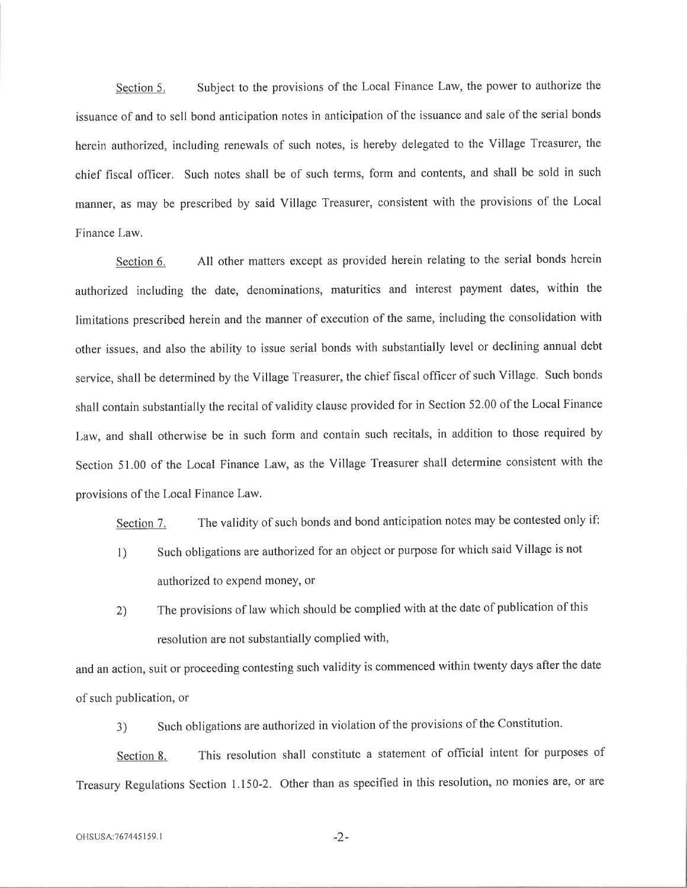Section 5. Subject to the provisions of the Local Finance Law, the power to authorize the issuance of and to sell bond anticipation notes in anticipation of the issuance and sale of the serial bonds herein authorized, including renewals of such notes, is hereby delegated to the Village Treasurer, the chief fiscal officer. Such notes shall be of such terms, form and contents, and shall be sold in such manner, as may be prescribed by said Village Treasurer, consistent with the provisions of the Local Finance Law.

Section 6. All other matters except as provided herein relating to the serial bonds herein authorized including the date, denominations, maturities and interest payment dates, within the limitations prescribed herein and the manner of execution of the same, including the consolidation with other issues, and also the ability to issue serial bonds with substantially level or declining annual debt service, shall be determined by the Village Treasurer, the chief fiscal officer of such Village. Such bonds shall contain substantially the recital of validity clause provided for in Section 52.00 of the Local Finance Law, and shall otherwise be in such form and contain such recitals, in addition to those required by Section 51.00 of the Local Finance Law, as the Village Treasurer shall determine consistent with the provisions of the Local Finance Law.

Section 7. The validity of such bonds and bond anticipation notes may be contested only if:

- I) Such obligations are authorized for an object or purpose for which said Village is not authorized to expend money, or
- 2) The provisions of law which should be complied with at the date of publication of this resolution are not substantially complied with,

and an action, suit or proceeding contesting such validity is commenced within twenty days after the date of such publication, or

3) Such obligations are authorized in violation of the provisions of the Constitution.

Section 8. This resolution shall constitute a statement of official intent for purposes of Treasury Regulations Section 1.150-2. Other than as specified in this resolution, no monies are, or are